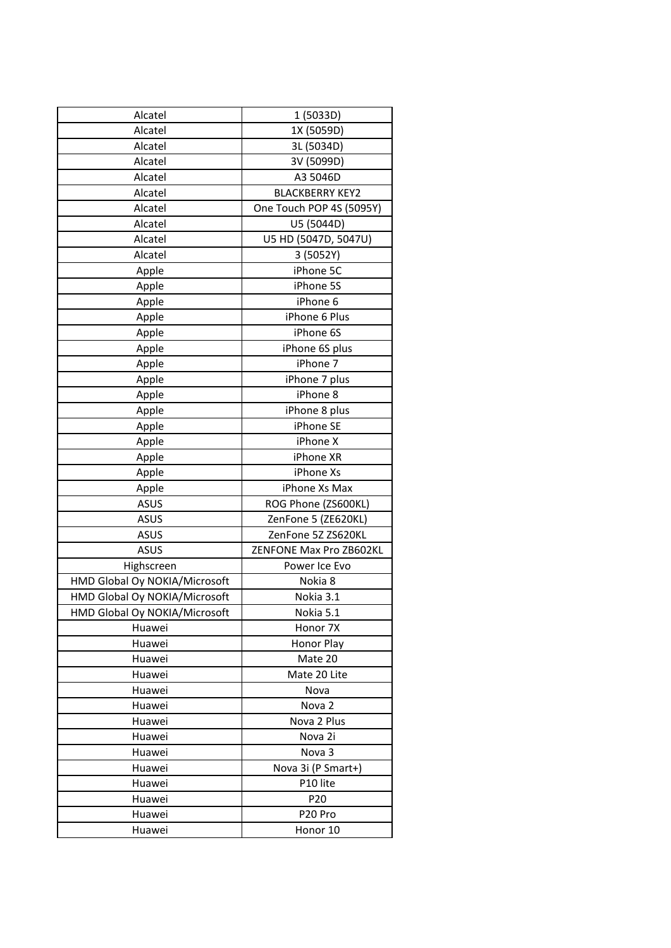| Alcatel                       | 1 (5033D)                |
|-------------------------------|--------------------------|
| Alcatel                       | 1X (5059D)               |
| Alcatel                       | 3L (5034D)               |
| Alcatel                       | 3V (5099D)               |
| Alcatel                       | A3 5046D                 |
| Alcatel                       | <b>BLACKBERRY KEY2</b>   |
| Alcatel                       | One Touch POP 4S (5095Y) |
| Alcatel                       | U5 (5044D)               |
| Alcatel                       | U5 HD (5047D, 5047U)     |
| Alcatel                       | 3 (5052Y)                |
| Apple                         | iPhone 5C                |
| Apple                         | iPhone 5S                |
| Apple                         | iPhone 6                 |
| Apple                         | iPhone 6 Plus            |
| Apple                         | iPhone 6S                |
| Apple                         | iPhone 6S plus           |
| Apple                         | iPhone 7                 |
| Apple                         | iPhone 7 plus            |
| Apple                         | iPhone 8                 |
| Apple                         | iPhone 8 plus            |
| Apple                         | iPhone SE                |
| Apple                         | iPhone X                 |
| Apple                         | iPhone XR                |
| Apple                         | iPhone Xs                |
| Apple                         | iPhone Xs Max            |
| <b>ASUS</b>                   | ROG Phone (ZS600KL)      |
| <b>ASUS</b>                   | ZenFone 5 (ZE620KL)      |
| <b>ASUS</b>                   | ZenFone 5Z ZS620KL       |
| <b>ASUS</b>                   | ZENFONE Max Pro ZB602KL  |
| Highscreen                    | Power Ice Evo            |
| HMD Global Oy NOKIA/Microsoft | Nokia 8                  |
| HMD Global Oy NOKIA/Microsoft | Nokia 3.1                |
| HMD Global Oy NOKIA/Microsoft | Nokia 5.1                |
| Huawei                        | Honor 7X                 |
| Huawei                        | Honor Play               |
| Huawei                        | Mate 20                  |
| Huawei                        | Mate 20 Lite             |
| Huawei                        | Nova                     |
| Huawei                        | Nova <sub>2</sub>        |
| Huawei                        | Nova 2 Plus              |
| Huawei                        | Nova 2i                  |
| Huawei                        | Nova 3                   |
| Huawei                        | Nova 3i (P Smart+)       |
| Huawei                        | P10 lite                 |
| Huawei                        | P <sub>20</sub>          |
| Huawei                        | P20 Pro                  |
| Huawei                        | Honor 10                 |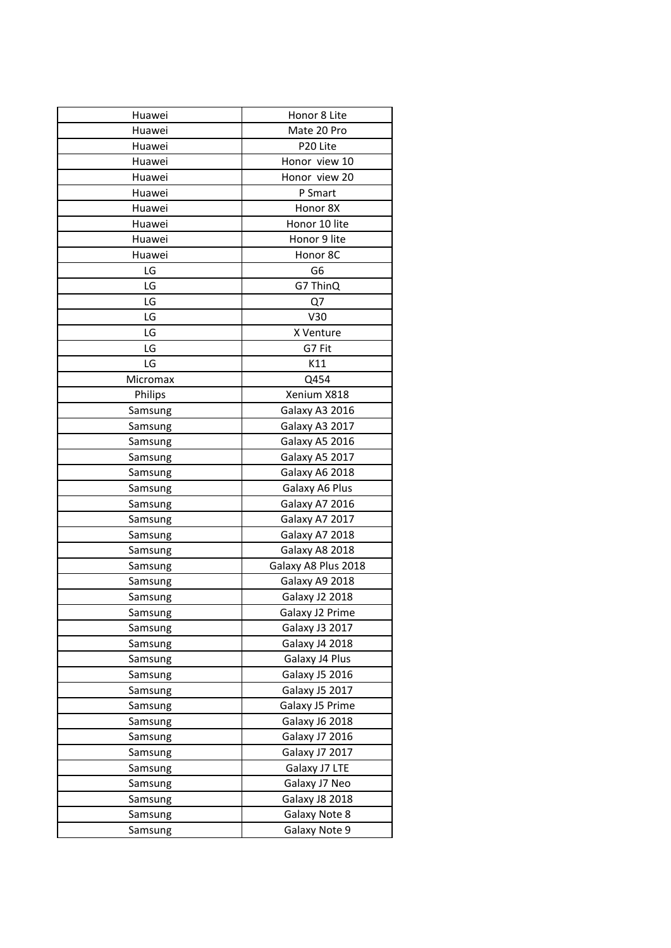| Huawei   | Honor 8 Lite          |
|----------|-----------------------|
| Huawei   | Mate 20 Pro           |
| Huawei   | P20 Lite              |
| Huawei   | Honor view 10         |
| Huawei   | Honor view 20         |
| Huawei   | P Smart               |
| Huawei   | Honor 8X              |
| Huawei   | Honor 10 lite         |
| Huawei   | Honor 9 lite          |
| Huawei   | Honor 8C              |
| LG       | G6                    |
| LG       | G7 ThinQ              |
| LG       | Q7                    |
| LG       | V30                   |
| LG       | X Venture             |
| LG       | G7 Fit                |
| LG       | K11                   |
| Micromax | Q454                  |
| Philips  | Xenium X818           |
| Samsung  | Galaxy A3 2016        |
| Samsung  | Galaxy A3 2017        |
| Samsung  | Galaxy A5 2016        |
| Samsung  | Galaxy A5 2017        |
| Samsung  | Galaxy A6 2018        |
| Samsung  | Galaxy A6 Plus        |
| Samsung  | Galaxy A7 2016        |
| Samsung  | Galaxy A7 2017        |
| Samsung  | Galaxy A7 2018        |
| Samsung  | Galaxy A8 2018        |
| Samsung  | Galaxy A8 Plus 2018   |
| Samsung  | Galaxy A9 2018        |
| Samsung  | Galaxy J2 2018        |
| Samsung  | Galaxy J2 Prime       |
| Samsung  | Galaxy J3 2017        |
| Samsung  | <b>Galaxy J4 2018</b> |
| Samsung  | Galaxy J4 Plus        |
| Samsung  | <b>Galaxy J5 2016</b> |
| Samsung  | Galaxy J5 2017        |
| Samsung  | Galaxy J5 Prime       |
| Samsung  | <b>Galaxy J6 2018</b> |
| Samsung  | <b>Galaxy J7 2016</b> |
| Samsung  | <b>Galaxy J7 2017</b> |
| Samsung  | Galaxy J7 LTE         |
| Samsung  | Galaxy J7 Neo         |
| Samsung  | <b>Galaxy J8 2018</b> |
| Samsung  | Galaxy Note 8         |
| Samsung  | Galaxy Note 9         |